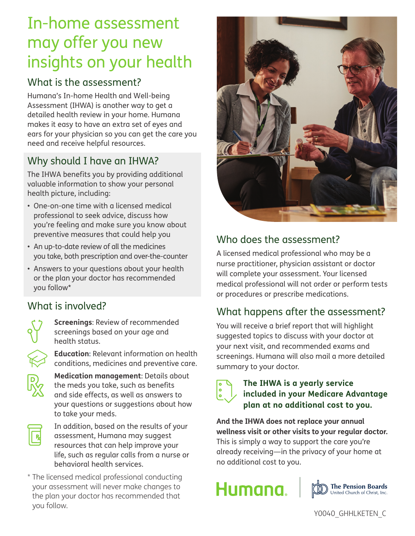## In-home assessment may offer you new insights on your health

### What is the assessment?

Humana's In-home Health and Well-being Assessment (IHWA) is another way to get a detailed health review in your home. Humana makes it easy to have an extra set of eyes and ears for your physician so you can get the care you need and receive helpful resources.

## Why should I have an IHWA?

The IHWA benefits you by providing additional valuable information to show your personal health picture, including:

- One-on-one time with a licensed medical professional to seek advice, discuss how you're feeling and make sure you know about preventive measures that could help you
- An up-to-date review of all the medicines you take, both prescription and over-the-counter
- Answers to your questions about your health or the plan your doctor has recommended you follow\*

## What is involved?



**Screenings**: Review of recommended screenings based on your age and health status.

**Education**: Relevant information on health conditions, medicines and preventive care.



**Medication management**: Details about the meds you take, such as benefits and side effects, as well as answers to your questions or suggestions about how to take your meds.



In addition, based on the results of your assessment, Humana may suggest resources that can help improve your life, such as regular calls from a nurse or behavioral health services.

\* The licensed medical professional conducting your assessment will never make changes to the plan your doctor has recommended that you follow.



## Who does the assessment?

A licensed medical professional who may be a nurse practitioner, physician assistant or doctor will complete your assessment. Your licensed medical professional will not order or perform tests or procedures or prescribe medications.

## What happens after the assessment?

You will receive a brief report that will highlight suggested topics to discuss with your doctor at your next visit, and recommended exams and screenings. Humana will also mail a more detailed summary to your doctor.

# $\overline{\bullet}$

#### **The IHWA is a yearly service included in your Medicare Advantage plan at no additional cost to you.**

**And the IHWA does not replace your annual wellness visit or other visits to your regular doctor.**  This is simply a way to support the care you're already receiving—in the privacy of your home at no additional cost to you.

# Humana.



Y0040\_GHHLKETEN\_C